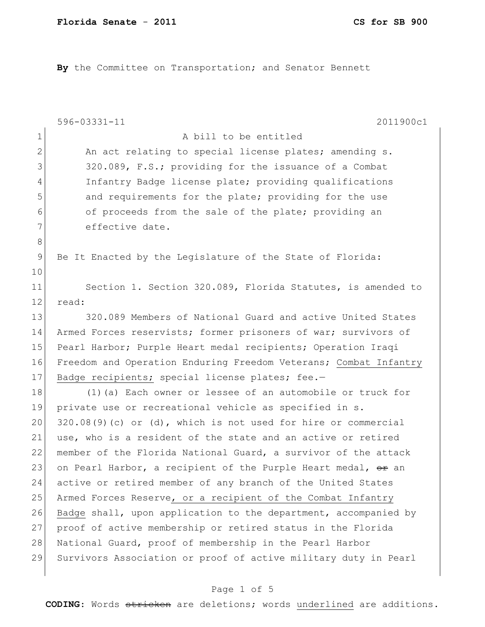**By** the Committee on Transportation; and Senator Bennett

|              | 2011900c1<br>596-03331-11                                        |
|--------------|------------------------------------------------------------------|
| $\mathbf 1$  | A bill to be entitled                                            |
| $\mathbf{2}$ | An act relating to special license plates; amending s.           |
| 3            | 320.089, F.S.; providing for the issuance of a Combat            |
| 4            | Infantry Badge license plate; providing qualifications           |
| 5            | and requirements for the plate; providing for the use            |
| 6            | of proceeds from the sale of the plate; providing an             |
| 7            | effective date.                                                  |
| 8            |                                                                  |
| 9            | Be It Enacted by the Legislature of the State of Florida:        |
| 10           |                                                                  |
| 11           | Section 1. Section 320.089, Florida Statutes, is amended to      |
| 12           | read:                                                            |
| 13           | 320.089 Members of National Guard and active United States       |
| 14           | Armed Forces reservists; former prisoners of war; survivors of   |
| 15           | Pearl Harbor; Purple Heart medal recipients; Operation Iraqi     |
| 16           | Freedom and Operation Enduring Freedom Veterans; Combat Infantry |
| 17           | Badge recipients; special license plates; fee.-                  |
| 18           | (1) (a) Each owner or lessee of an automobile or truck for       |
| 19           | private use or recreational vehicle as specified in s.           |
| 20           | $320.08(9)$ (c) or (d), which is not used for hire or commercial |
| 21           | use, who is a resident of the state and an active or retired     |
| 22           | member of the Florida National Guard, a survivor of the attack   |
| 23           | on Pearl Harbor, a recipient of the Purple Heart medal, or an    |
| 24           | active or retired member of any branch of the United States      |
| 25           | Armed Forces Reserve, or a recipient of the Combat Infantry      |
| 26           | Badge shall, upon application to the department, accompanied by  |
| 27           | proof of active membership or retired status in the Florida      |
| 28           | National Guard, proof of membership in the Pearl Harbor          |
| 29           | Survivors Association or proof of active military duty in Pearl  |

# Page 1 of 5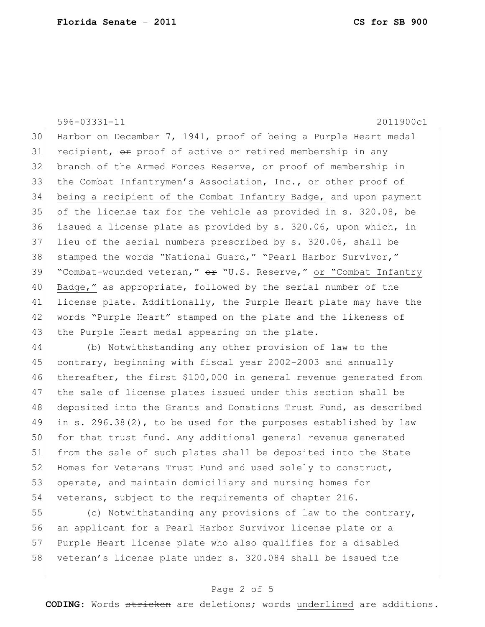596-03331-11 2011900c1 30 Harbor on December 7, 1941, proof of being a Purple Heart medal 31 recipient,  $\Theta$ r proof of active or retired membership in any 32 branch of the Armed Forces Reserve, or proof of membership in 33 the Combat Infantrymen's Association, Inc., or other proof of 34 being a recipient of the Combat Infantry Badge, and upon payment 35 of the license tax for the vehicle as provided in s. 320.08, be 36 issued a license plate as provided by s. 320.06, upon which, in 37 lieu of the serial numbers prescribed by s. 320.06, shall be 38 stamped the words "National Guard," "Pearl Harbor Survivor," 39 "Combat-wounded veteran," or "U.S. Reserve," or "Combat Infantry 40 Badge," as appropriate, followed by the serial number of the 41 license plate. Additionally, the Purple Heart plate may have the 42 | words "Purple Heart" stamped on the plate and the likeness of 43 the Purple Heart medal appearing on the plate.

44 (b) Notwithstanding any other provision of law to the 45 contrary, beginning with fiscal year 2002-2003 and annually 46 thereafter, the first \$100,000 in general revenue generated from 47 the sale of license plates issued under this section shall be 48 deposited into the Grants and Donations Trust Fund, as described 49 in s. 296.38(2), to be used for the purposes established by law 50 for that trust fund. Any additional general revenue generated 51 from the sale of such plates shall be deposited into the State 52 Homes for Veterans Trust Fund and used solely to construct, 53 operate, and maintain domiciliary and nursing homes for 54 veterans, subject to the requirements of chapter 216.

55 (c) Notwithstanding any provisions of law to the contrary, 56 an applicant for a Pearl Harbor Survivor license plate or a 57 Purple Heart license plate who also qualifies for a disabled 58 veteran's license plate under s. 320.084 shall be issued the

#### Page 2 of 5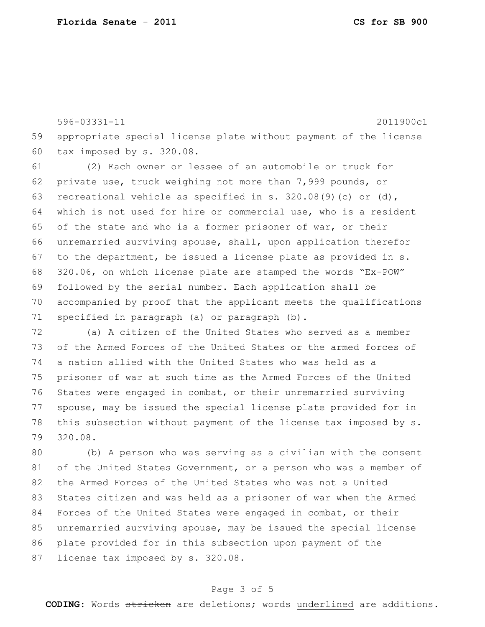596-03331-11 2011900c1 59 appropriate special license plate without payment of the license 60 tax imposed by  $s. 320.08$ . 61 (2) Each owner or lessee of an automobile or truck for 62 private use, truck weighing not more than 7,999 pounds, or 63 recreational vehicle as specified in s.  $320.08(9)(c)$  or (d), 64 which is not used for hire or commercial use, who is a resident 65 of the state and who is a former prisoner of war, or their 66 unremarried surviving spouse, shall, upon application therefor 67 to the department, be issued a license plate as provided in  $s$ . 68 320.06, on which license plate are stamped the words "Ex-POW" 69 followed by the serial number. Each application shall be 70 accompanied by proof that the applicant meets the qualifications 71 specified in paragraph (a) or paragraph (b). 72 (a) A citizen of the United States who served as a member

73 of the Armed Forces of the United States or the armed forces of 74 a nation allied with the United States who was held as a 75 | prisoner of war at such time as the Armed Forces of the United 76 States were engaged in combat, or their unremarried surviving 77 spouse, may be issued the special license plate provided for in 78 this subsection without payment of the license tax imposed by s. 79 320.08.

80 (b) A person who was serving as a civilian with the consent 81 of the United States Government, or a person who was a member of 82 the Armed Forces of the United States who was not a United 83 States citizen and was held as a prisoner of war when the Armed 84 Forces of the United States were engaged in combat, or their 85 unremarried surviving spouse, may be issued the special license 86 plate provided for in this subsection upon payment of the 87 license tax imposed by s. 320.08.

#### Page 3 of 5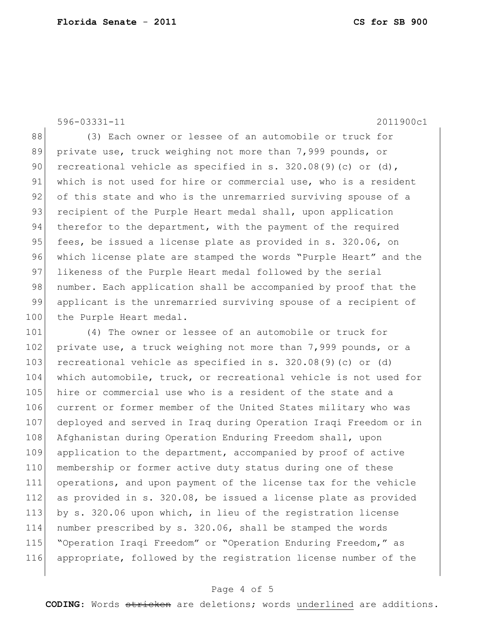596-03331-11 2011900c1

88 (3) Each owner or lessee of an automobile or truck for 89 private use, truck weighing not more than 7,999 pounds, or 90 recreational vehicle as specified in s.  $320.08(9)(c)$  or (d), 91 which is not used for hire or commercial use, who is a resident 92 of this state and who is the unremarried surviving spouse of a 93 recipient of the Purple Heart medal shall, upon application 94 therefor to the department, with the payment of the required 95 fees, be issued a license plate as provided in s. 320.06, on 96 which license plate are stamped the words "Purple Heart" and the 97 likeness of the Purple Heart medal followed by the serial 98 number. Each application shall be accompanied by proof that the 99 applicant is the unremarried surviving spouse of a recipient of 100 the Purple Heart medal.

 (4) The owner or lessee of an automobile or truck for 102 private use, a truck weighing not more than 7,999 pounds, or a recreational vehicle as specified in s. 320.08(9)(c) or (d) 104 which automobile, truck, or recreational vehicle is not used for 105 hire or commercial use who is a resident of the state and a current or former member of the United States military who was deployed and served in Iraq during Operation Iraqi Freedom or in 108 Afghanistan during Operation Enduring Freedom shall, upon application to the department, accompanied by proof of active 110 membership or former active duty status during one of these operations, and upon payment of the license tax for the vehicle as provided in s. 320.08, be issued a license plate as provided 113 by s. 320.06 upon which, in lieu of the registration license number prescribed by s. 320.06, shall be stamped the words "Operation Iraqi Freedom" or "Operation Enduring Freedom," as appropriate, followed by the registration license number of the

### Page 4 of 5